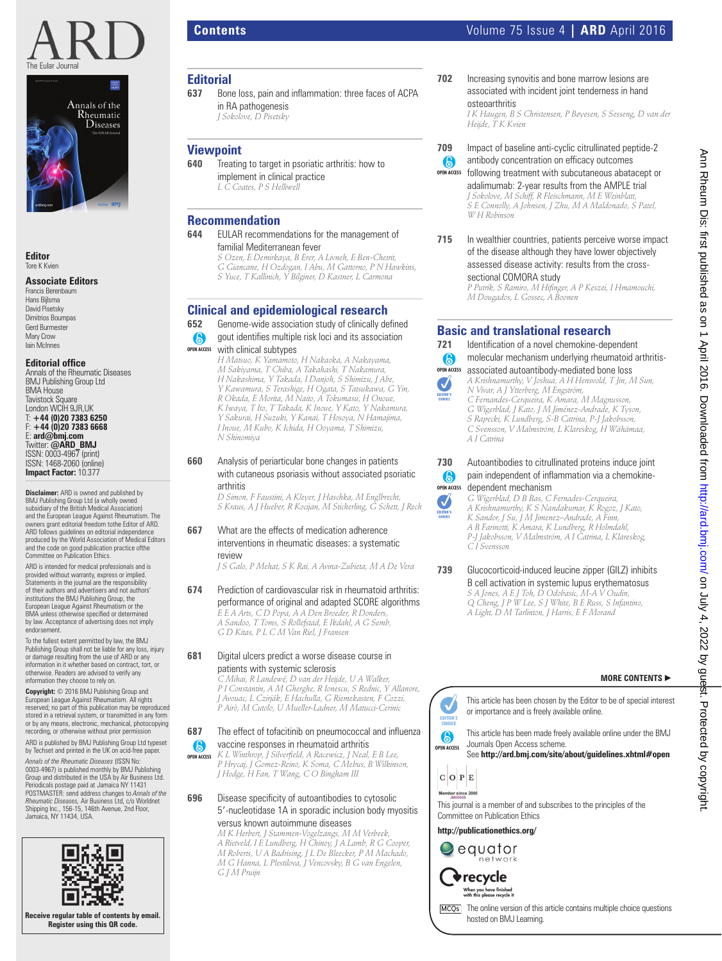



**Editor** Tore K Kvien

#### **Associate Editors**

Francis Berenbaum Hans Bijlsma David Pisetsky Dimitrios Boumpas Gerd Burmester Mary Crow Iain McInnes

## **Editorial office**<br>Annals of the Rheumatic Diseases

BMJ Publishing Group Ltd BMA House Tavistock Square London WCIH 9JR,UK T: **+44 (0)20 7383 6250** F: **+44 (0)20 7383 6668** E: **ard@bmj.com** Twitter: **@ARD\_BMJ** ISSN: 0003-4967 (print) ISSN: 1468-2060 (online) **Impact Factor:** 10.377

**Disclaimer:** ARD is owned and published by BMJ Publishing Group Ltd (a wholly owned subsidiary of the British Medical Association) and the European League Against Rheumatism. The owners grant editorial freedom tothe Editor of ARD. ARD follows guidelines on editorial independence produced by the World Association of Medical Editors and the code on good publication practice ofthe Committee on Publication Ethics.

ARD is intended for medical professionals and is provided without warranty, express or implied. Statements in the journal are the responsibility of their authors and advertisers and not authors' institutions the BMJ Publishing Group, the European League Against Rheumatism or the BMA unless otherwise specified or determined<br>by law. Acceptance of advertising does not imply endorsement.

To the fullest extent permitted by law, the BMJ Publishing Group shall not be liable for any loss, injury or damage resulting from the use of ARD or any information in it whether based on contract, tort, or otherwise. Readers are advised to verify any information they choose to rely on.

**Copyright:** © 2016 BMJ Publishing Group and European League Against Rheumatism. All rights reserved; no part of this publication may be reproduced stored in a retrieval system, or transmitted in any form or by any means, electronic, mechanical, photocopying recording, or otherwise without prior permission ARD is published by BMJ Publishing Group Ltd typeset

by Techset and printed in the UK on acid-free paper. *Annals of the Rheumatic Diseases* (ISSN No: 0003-4967) is published monthly by BMJ Publishing

Group and distributed in the USA by Air Business Ltd. Periodicals postage paid at Jamaica NY 11431 POSTMASTER: send address changes to *Annals of the Rheumatic Diseases,* Air Business Ltd, c/o Worldnet Shipping Inc., 156-15, 146th Avenue, 2nd Floor, Jamaica, NY 11434, USA.



in RA pathogenesis  *J Sokolove, D Pisetsky* 

 **640** Treating to target in psoriatic arthritis: how to implement in clinical practice  *L C Coates, P S Helliwell* 

 **644** EULAR recommendations for the management of

 **Clinical and epidemiological research 652** Genome-wide association study of clinically defined gout identifies multiple risk loci and its association

 *S Ozen, E Demirkaya, B Erer, A Livneh, E Ben-Chetrit, G Giancane, H Ozdogan, I Abu, M Gattorno, P N Hawkins, S Yuce, T Kallinich, Y Bilginer, D Kastner, L Carmona* 

 *H Matsuo, K Yamamoto, H Nakaoka, A Nakayama, M Sakiyama, T Chiba, A Takahashi, T Nakamura, H Nakashima, Y Takada, I Danjoh, S Shimizu, J Abe, Y Kawamura, S Terashige, H Ogata, S Tatsukawa, G Yin, R Okada, E Morita, M Naito, A Tokumasu, H Onoue, K Iwaya, T Ito, T Takada, K Inoue, Y Kato, Y Nakamura, Y Sakurai, H Suzuki, Y Kanai, T Hosoya, N Hamajima, I Inoue, M Kubo, K Ichida, H Ooyama, T Shimizu,* 

 **660** Analysis of periarticular bone changes in patients

 **667** What are the effects of medication adherence interventions in rheumatic diseases: a systematic

 **681** Digital ulcers predict a worse disease course in patients with systemic sclerosis

with cutaneous psoriasis without associated psoriatic

 *J S Galo, P Mehat, S K Rai, A Avina-Zubieta, M A De Vera* 

 **674** Prediction of cardiovascular risk in rheumatoid arthritis: performance of original and adapted SCORE algorithms  *E E A Arts, C D Popa, A A Den Broeder, R Donders, A Sandoo, T Toms, S Rollefstad, E Ikdahl, A G Semb, G D Kitas, P L C M Van Riel, J Fransen* 

> *C Mihai, R Landewé, D van der Heijde , U A Walker, P I Constantin, A M Gherghe, R Ionescu, S Rednic, Y Allanore, J Avouac, L Czirják, E Hachulla, G Riemekasten, F Cozzi, P Airò, M Cutolo, U Mueller-Ladner, M Matucci-Cerinic*

**687** The effect of tofacitinib on pneumococcal and influenza vaccine responses in rheumatoid arthritis  *K L Winthrop, J Silverfi eld, A Racewicz, J Neal, E B Lee, P Hrycaj, J Gomez-Reino, K Soma, C Mebus, B Wilkinson,* 

5--nucleotidase 1A in sporadic inclusion body myositis

*J Hodge, H Fan, T Wang, C O Bingham III*  **696** Disease specificity of autoantibodies to cytosolic

> versus known autoimmune diseases  *M K Herbert, J Stammen-Vogelzangs, M M Verbeek, A Rietveld, I E Lundberg, H Chinoy, J A Lamb, R G Cooper, M Roberts, U A Badrising, J L De Bleecker, P M Machado, M G Hanna, L Plestilova, J Vencovsky, B G van Engelen,*

*G J M Pruijn* 

**OPEN ACCESS**

6

 *D Simon, F Faustini, A Kleyer, J Haschka, M Englbrecht, S Kraus, A J Hueber, R Kocijan, M Sticherling, G Schett, J Rech* 

familial Mediterranean fever

with clinical subtypes

*N Shinomiya* 

arthritis

review

Bone loss, pain and inflammation: three faces of ACPA

 **Editorial** 

 **Viewpoint** 

**OPEN ACCESS**

6

 **Recommendation** 

# **Contents** Volume 75 Issue 4 **| ARD** April 2016

**702** Increasing synovitis and bone marrow lesions are associated with incident joint tenderness in hand osteoarthritis

antibody concentration on efficacy outcomes

 *I K Haugen, B S Christensen, P Bøyesen, S Sesseng, D van der Heijde, T K Kvien* 

- **709** Impact of baseline anti-cyclic citrullinated peptide-2
	- $\bullet$ **OPEN ACCESS**

following treatment with subcutaneous abatacept or

adalimumab: 2-year results from the AMPLE trial  *J Sokolove, M Schiff, R Fleischmann, M E Weinblatt, S E Connolly, A Johnsen, J Zhu, M A Maldonado, S Patel, W H Robinson* 

**715** In wealthier countries, patients perceive worse impact of the disease although they have lower objectively assessed disease activity: results from the crosssectional COMORA study  *P Putrik, S Ramiro, M Hifi nger, A P Keszei, I Hmamouchi, M Dougados, L Gossec, A Boonen* 

**Basic and translational research** <br> **721** Identification of a novel chemokine-den

## A J EDITOR'S

J EDITOR'S

associated autoantibody-mediated bone loss **OPEN ACCESS**  *A Krishnamurthy, V Joshua, A H Hensvold, T Jin, M Sun, N Vivar, A J Ytterberg, M Engström, C Fernandes-Cerqueira, K Amara, M Magnusson, G Wigerblad, J Kato, J M Jiménez-Andrade, K Tyson, S Rapecki, K Lundberg, S-B Catrina, P-J Jakobsson, C Svensson, V Malmström, L Klareskog, H Wähämaa, A I Catrina* 

Identification of a novel chemokine-dependent molecular mechanism underlying rheumatoid arthritis-

#### **730** Autoantibodies to citrullinated proteins induce joint pain independent of inflammation via a chemokine- $\odot$ **OPEN ACCESS** dependent mechanism

 *G Wigerblad, D B Bas, C Fernades-Cerqueira, A Krishnamurthy, K S Nandakumar, K Rogoz, J Kato, K Sandor, J Su, J M Jimenez–Andrade, A Finn, A B Farinotti, K Amara, K Lundberg, R Holmdahl, P-J Jakobsson, V Malmström, A I Catrina, L Klareskog,* 

*C I Svensson* 

 **739** Glucocorticoid-induced leucine zipper (GILZ) inhibits B cell activation in systemic lupus erythematosus  *S A Jones, A E J Toh, D Odobasic, M-A V Oudin, Q Cheng, J P W Lee, S J White, B E Russ, S Infantino, A Light, D M Tarlinton, J Harris, E F Morand* 

#### **MORE CONTENTS** -



This article has been chosen by the Editor to be of special interest or importance and is freely available online.

This article has been made freely available online under the BMJ Journals Open Access scheme. See http://ard.bmj.com/site/about/guidelines.xhtml#open

 $C$  O  $P$  E

This journal is a member of and subscribes to the principles of the Committee on Publication Ethics

**http://publicationethics.org/**





When you have finished<br>with this please recycle it

[MCQs] The online version of this article contains multiple choice questions hosted on BMJ Learning.